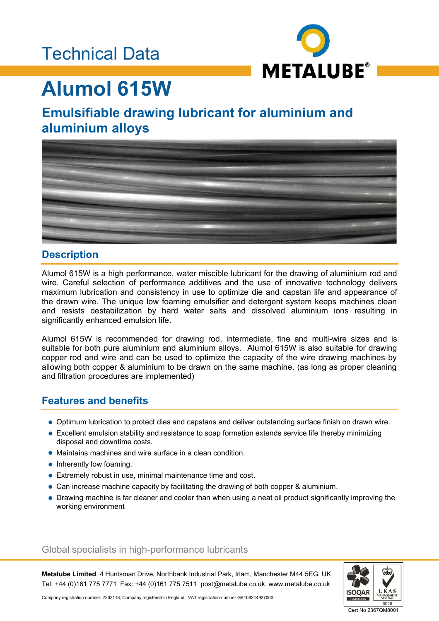### Technical Data



# **Alumol 615W**

### **Emulsifiable drawing lubricant for aluminium and aluminium alloys**



#### **Description**

Alumol 615W is a high performance, water miscible lubricant for the drawing of aluminium rod and wire. Careful selection of performance additives and the use of innovative technology delivers maximum lubrication and consistency in use to optimize die and capstan life and appearance of the drawn wire. The unique low foaming emulsifier and detergent system keeps machines clean and resists destabilization by hard water salts and dissolved aluminium ions resulting in significantly enhanced emulsion life.

Alumol 615W is recommended for drawing rod, intermediate, fine and multi-wire sizes and is suitable for both pure aluminium and aluminium alloys. Alumol 615W is also suitable for drawing copper rod and wire and can be used to optimize the capacity of the wire drawing machines by allowing both copper & aluminium to be drawn on the same machine. (as long as proper cleaning and filtration procedures are implemented)

### **Features and benefits**

- Optimum lubrication to protect dies and capstans and deliver outstanding surface finish on drawn wire.
- Excellent emulsion stability and resistance to soap formation extends service life thereby minimizing disposal and downtime costs.
- Maintains machines and wire surface in a clean condition.
- Inherently low foaming.
- Extremely robust in use, minimal maintenance time and cost.
- Can increase machine capacity by facilitating the drawing of both copper & aluminium.
- Drawing machine is far cleaner and cooler than when using a neat oil product significantly improving the working environment

#### Global specialists in high-performance lubricants

**Metalube Limited**, 4 Huntsman Drive, Northbank Industrial Park, Irlam, Manchester M44 5EG, UK Tel: +44 (0)161 775 7771 Fax: +44 (0)161 775 7511 post@metalube.co.uk www.metalube.co.uk



Company registration number: 2263118; Company registered in England VAT registration number GB108244927000

Cert No 2367QM8001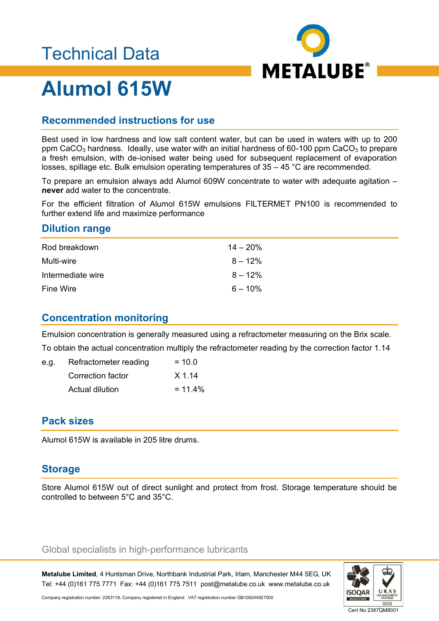### Technical Data



# **Alumol 615W**

#### **Recommended instructions for use**

Best used in low hardness and low salt content water, but can be used in waters with up to 200 ppm CaCO<sub>3</sub> hardness. Ideally, use water with an initial hardness of 60-100 ppm CaCO<sub>3</sub> to prepare a fresh emulsion, with de-ionised water being used for subsequent replacement of evaporation losses, spillage etc. Bulk emulsion operating temperatures of 35 – 45 °C are recommended.

To prepare an emulsion always add Alumol 609W concentrate to water with adequate agitation – **never** add water to the concentrate.

For the efficient filtration of Alumol 615W emulsions FILTERMET PN100 is recommended to further extend life and maximize performance

#### **Dilution range**

| Rod breakdown     | $14 - 20%$ |
|-------------------|------------|
| Multi-wire        | $8 - 12\%$ |
| Intermediate wire | $8 - 12\%$ |
| <b>Fine Wire</b>  | $6 - 10\%$ |

#### **Concentration monitoring**

Emulsion concentration is generally measured using a refractometer measuring on the Brix scale. To obtain the actual concentration multiply the refractometer reading by the correction factor 1.14

| e.g. | Refractometer reading | $= 10.0$   |
|------|-----------------------|------------|
|      | Correction factor     | $X$ 1.14   |
|      | Actual dilution       | $= 11.4\%$ |

#### **Pack sizes**

Alumol 615W is available in 205 litre drums.

#### **Storage**

Store Alumol 615W out of direct sunlight and protect from frost. Storage temperature should be controlled to between 5°C and 35°C.

#### Global specialists in high-performance lubricants

**Metalube Limited**, 4 Huntsman Drive, Northbank Industrial Park, Irlam, Manchester M44 5EG, UK Tel: +44 (0)161 775 7771 Fax: +44 (0)161 775 7511 post@metalube.co.uk www.metalube.co.uk



Company registration number: 2263118; Company registered in England VAT registration number GB108244927000